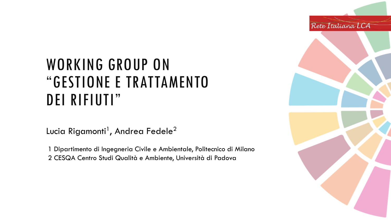#### WORKING GROUP ON "GESTIONE E TRATTAMENTO DEI RIFIUTI"

Lucia Rigamonti<sup>1</sup>, Andrea Fedele<sup>2</sup>

1 Dipartimento di Ingegneria Civile e Ambientale, Politecnico di Milano

2 CESQA Centro Studi Qualità e Ambiente, Università di Padova

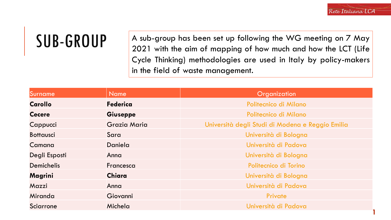## SUB-GROUP

A sub-group has been set up following the WG meeting on 7 May 2021 with the aim of mapping of how much and how the LCT (Life Cycle Thinking) methodologies are used in Italy by policy-makers in the field of waste management.

| Surname           | <b>Name</b>     | Organization                                     |
|-------------------|-----------------|--------------------------------------------------|
| <b>Carollo</b>    | <b>Federica</b> | Politecnico di Milano                            |
| <b>Cecere</b>     | Giuseppe        | Politecnico di Milano                            |
| Cappucci          | Grazia Maria    | Università degli Studi di Modena e Reggio Emilia |
| <b>Bottausci</b>  | Sara            | Università di Bologna                            |
| Camana            | Daniela         | Università di Padova                             |
| Degli Esposti     | Anna            | Università di Bologna                            |
| <b>Demichelis</b> | Francesca       | Politecnico di Torino                            |
| Magrini           | <b>Chiara</b>   | Università di Bologna                            |
| Mazzi             | Anna            | Università di Padova                             |
| Miranda           | Giovanni        | Private                                          |
| Sciarrone         | Michela         | Università di Padova                             |
|                   |                 |                                                  |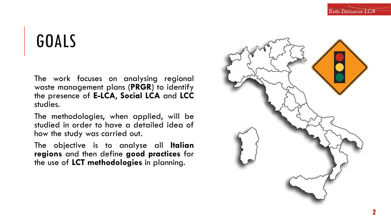# GOALS

The work focuses on analysing regional waste management plans (**PRGR**) to identify the presence of **E-LCA**, **Social LCA** and **LCC** studies.

The methodologies, when applied, will be studied in order to have a detailed idea of how the study was carried out.

The objective is to analyse all **Italian regions** and then define **good practices** for the use of **LCT methodologies** in planning.

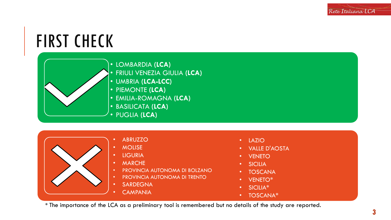#### FIRST CHECK

• LOMBARDIA **(LCA)** 

• FRIULI VENEZIA GIULIA **(LCA)**

- UMBRIA **(LCA-LCC)**
- PIEMONTE **(LCA)**
- EMILIA-ROMAGNA **(LCA)**
- BASILICATA **(LCA)**
- PUGLIA **(LCA)**
	- ABRUZZO
- MOLISE
- LIGURIA
- MARCHE
- PROVINCIA AUTONOMA DI BOLZANO
- PROVINCIA AUTONOMA DI TRENTO
- SARDEGNA
	- **CAMPANIA**
- LAZIO
- VALLE D'AOSTA
- **VENETO**
- **SICILIA**
- TOSCANA
- VENETO\*
- SICILIA\*
- TOSCANA\*

\* The importance of the LCA as a preliminary tool is remembered but no details of the study are reported.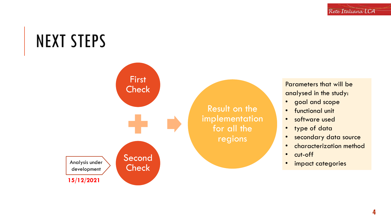### NEXT STEPS